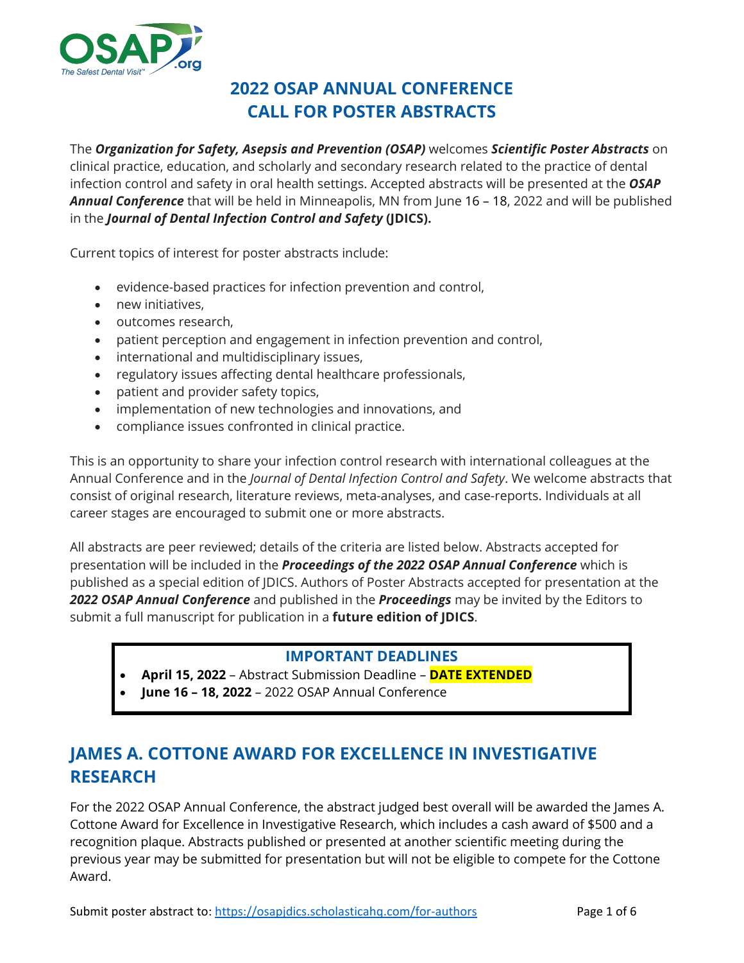

# **2022 OSAP ANNUAL CONFERENCE CALL FOR POSTER ABSTRACTS**

The *Organization for Safety, Asepsis and Prevention (OSAP)* welcomes *Scientific Poster Abstracts* on clinical practice, education, and scholarly and secondary research related to the practice of dental infection control and safety in oral health settings. Accepted abstracts will be presented at the *OSAP Annual Conference* that will be held in Minneapolis, MN from June 16 – 18, 2022 and will be published in the *Journal of Dental Infection Control and Safety* **(JDICS).**

Current topics of interest for poster abstracts include:

- evidence-based practices for infection prevention and control,
- new initiatives,
- outcomes research,
- patient perception and engagement in infection prevention and control,
- international and multidisciplinary issues,
- regulatory issues affecting dental healthcare professionals,
- patient and provider safety topics,
- implementation of new technologies and innovations, and
- compliance issues confronted in clinical practice.

This is an opportunity to share your infection control research with international colleagues at the Annual Conference and in the *Journal of Dental Infection Control and Safety*. We welcome abstracts that consist of original research, literature reviews, meta-analyses, and case-reports. Individuals at all career stages are encouraged to submit one or more abstracts.

All abstracts are peer reviewed; details of the criteria are listed below. Abstracts accepted for presentation will be included in the *Proceedings of the 2022 OSAP Annual Conference* which is published as a special edition of JDICS. Authors of Poster Abstracts accepted for presentation at the *2022 OSAP Annual Conference* and published in the *Proceedings* may be invited by the Editors to submit a full manuscript for publication in a **future edition of JDICS**.

#### **IMPORTANT DEADLINES**

- **April 15, 2022** Abstract Submission Deadline **DATE EXTENDED**
- **June 16 – 18, 2022** 2022 OSAP Annual Conference

# **JAMES A. COTTONE AWARD FOR EXCELLENCE IN INVESTIGATIVE RESEARCH**

For the 2022 OSAP Annual Conference, the abstract judged best overall will be awarded the James A. Cottone Award for Excellence in Investigative Research, which includes a cash award of \$500 and a recognition plaque. Abstracts published or presented at another scientific meeting during the previous year may be submitted for presentation but will not be eligible to compete for the Cottone Award.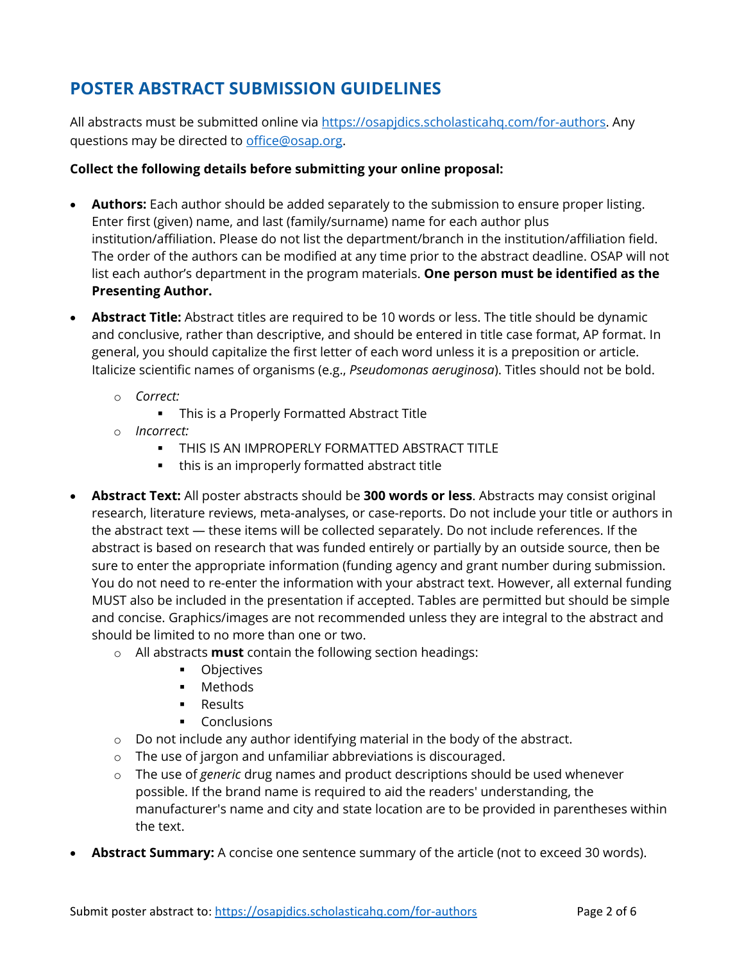# **POSTER ABSTRACT SUBMISSION GUIDELINES**

All abstracts must be submitted online via [https://osapjdics.scholasticahq.com/for-authors.](https://osapjdics.scholasticahq.com/for-authors) Any questions may be directed to [office@osap.org.](mailto:office@osap.org)

#### **Collect the following details before submitting your online proposal:**

- **Authors:** Each author should be added separately to the submission to ensure proper listing. Enter first (given) name, and last (family/surname) name for each author plus institution/affiliation. Please do not list the department/branch in the institution/affiliation field. The order of the authors can be modified at any time prior to the abstract deadline. OSAP will not list each author's department in the program materials. **One person must be identified as the Presenting Author.**
- **Abstract Title:** Abstract titles are required to be 10 words or less. The title should be dynamic and conclusive, rather than descriptive, and should be entered in title case format, AP format. In general, you should capitalize the first letter of each word unless it is a preposition or article. Italicize scientific names of organisms (e.g., *Pseudomonas aeruginosa*). Titles should not be bold.
	- o *Correct:*
		- This is a Properly Formatted Abstract Title
	- o *Incorrect:*
		- **THIS IS AN IMPROPERLY FORMATTED ABSTRACT TITLE**
		- this is an improperly formatted abstract title
- **Abstract Text:** All poster abstracts should be **300 words or less**. Abstracts may consist original research, literature reviews, meta-analyses, or case-reports. Do not include your title or authors in the abstract text — these items will be collected separately. Do not include references. If the abstract is based on research that was funded entirely or partially by an outside source, then be sure to enter the appropriate information (funding agency and grant number during submission. You do not need to re-enter the information with your abstract text. However, all external funding MUST also be included in the presentation if accepted. Tables are permitted but should be simple and concise. Graphics/images are not recommended unless they are integral to the abstract and should be limited to no more than one or two.
	- o All abstracts **must** contain the following section headings:
		- **•** Objectives
		- **Methods**
		- **Results**
		- **Conclusions**
	- o Do not include any author identifying material in the body of the abstract.
	- o The use of jargon and unfamiliar abbreviations is discouraged.
	- o The use of *generic* drug names and product descriptions should be used whenever possible. If the brand name is required to aid the readers' understanding, the manufacturer's name and city and state location are to be provided in parentheses within the text.
- **Abstract Summary:** A concise one sentence summary of the article (not to exceed 30 words).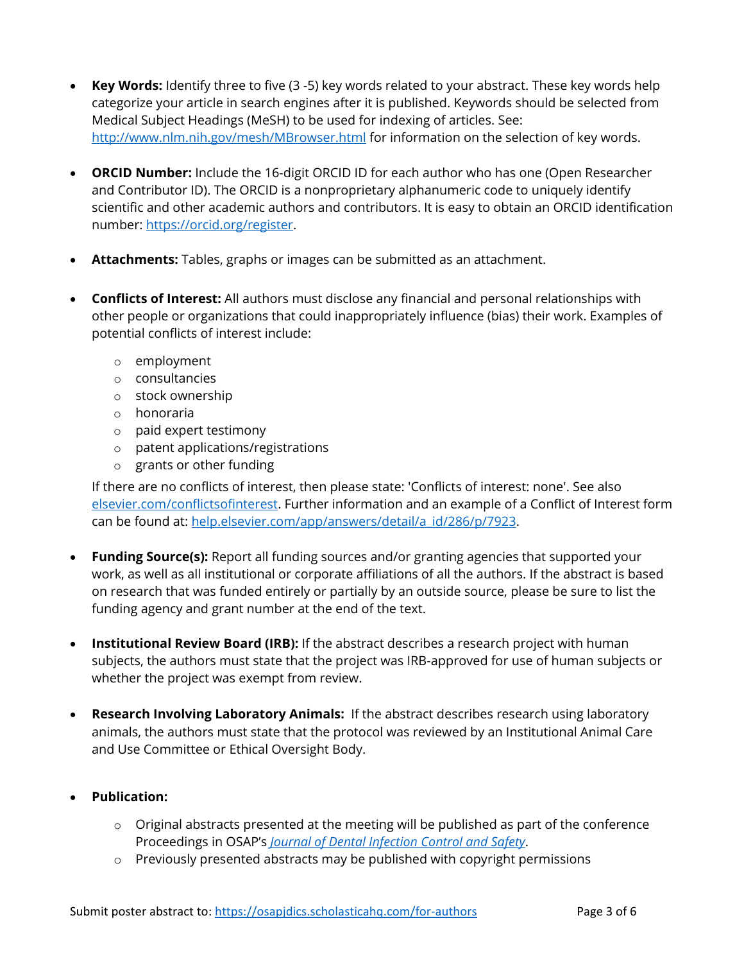- **Key Words:** Identify three to five (3 -5) key words related to your abstract. These key words help categorize your article in search engines after it is published. Keywords should be selected from Medical Subject Headings (MeSH) to be used for indexing of articles. See: <http://www.nlm.nih.gov/mesh/MBrowser.html> for information on the selection of key words.
- **ORCID Number:** Include the 16-digit ORCID ID for each author who has one (Open Researcher and Contributor ID). The ORCID is a nonproprietary alphanumeric code to uniquely identify scientific and other academic authors and contributors. It is easy to obtain an ORCID identification number: [https://orcid.org/register.](https://orcid.org/register)
- **Attachments:** Tables, graphs or images can be submitted as an attachment.
- **Conflicts of Interest:** All authors must disclose any financial and personal relationships with other people or organizations that could inappropriately influence (bias) their work. Examples of potential conflicts of interest include:
	- o employment
	- o consultancies
	- o stock ownership
	- o honoraria
	- o paid expert testimony
	- o patent applications/registrations
	- o grants or other funding

If there are no conflicts of interest, then please state: 'Conflicts of interest: none'. See also [elsevier.com/conflictsofinterest.](about:blank) Further information and an example of a Conflict of Interest form can be found at: [help.elsevier.com/app/answers/detail/a\\_id/286/p/7923.](about:blank)

- **Funding Source(s):** Report all funding sources and/or granting agencies that supported your work, as well as all institutional or corporate affiliations of all the authors. If the abstract is based on research that was funded entirely or partially by an outside source, please be sure to list the funding agency and grant number at the end of the text.
- **Institutional Review Board (IRB):** If the abstract describes a research project with human subjects, the authors must state that the project was IRB-approved for use of human subjects or whether the project was exempt from review.
- **Research Involving Laboratory Animals:** If the abstract describes research using laboratory animals, the authors must state that the protocol was reviewed by an Institutional Animal Care and Use Committee or Ethical Oversight Body.
- **Publication:**
	- $\circ$  Original abstracts presented at the meeting will be published as part of the conference Proceedings in OSAP's *[Journal of Dental Infection Control and Safety](about:blank)*.
	- o Previously presented abstracts may be published with copyright permissions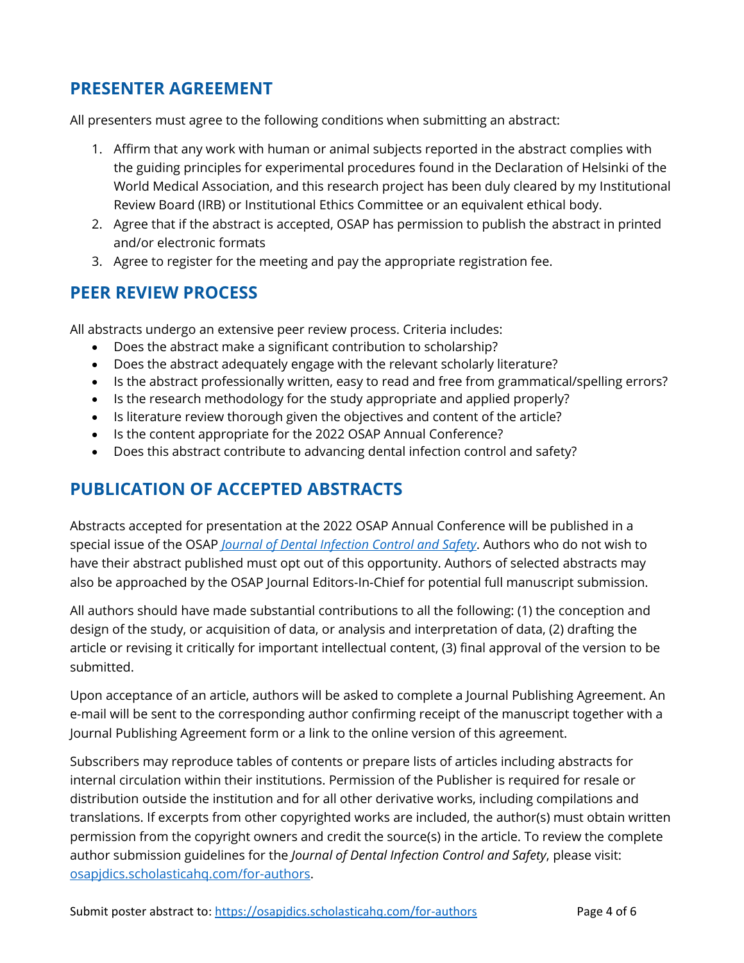## **PRESENTER AGREEMENT**

All presenters must agree to the following conditions when submitting an abstract:

- 1. Affirm that any work with human or animal subjects reported in the abstract complies with the guiding principles for experimental procedures found in the Declaration of Helsinki of the World Medical Association, and this research project has been duly cleared by my Institutional Review Board (IRB) or Institutional Ethics Committee or an equivalent ethical body.
- 2. Agree that if the abstract is accepted, OSAP has permission to publish the abstract in printed and/or electronic formats
- 3. Agree to register for the meeting and pay the appropriate registration fee.

## **PEER REVIEW PROCESS**

All abstracts undergo an extensive peer review process. Criteria includes:

- Does the abstract make a significant contribution to scholarship?
- Does the abstract adequately engage with the relevant scholarly literature?
- Is the abstract professionally written, easy to read and free from grammatical/spelling errors?
- Is the research methodology for the study appropriate and applied properly?
- Is literature review thorough given the objectives and content of the article?
- Is the content appropriate for the 2022 OSAP Annual Conference?
- Does this abstract contribute to advancing dental infection control and safety?

## **PUBLICATION OF ACCEPTED ABSTRACTS**

Abstracts accepted for presentation at the 2022 OSAP Annual Conference will be published in a special issue of the OSAP *[Journal of Dental Infection Control and Safety](about:blank)*. Authors who do not wish to have their abstract published must opt out of this opportunity. Authors of selected abstracts may also be approached by the OSAP Journal Editors-In-Chief for potential full manuscript submission.

All authors should have made substantial contributions to all the following: (1) the conception and design of the study, or acquisition of data, or analysis and interpretation of data, (2) drafting the article or revising it critically for important intellectual content, (3) final approval of the version to be submitted.

Upon acceptance of an article, authors will be asked to complete a Journal Publishing Agreement. An e-mail will be sent to the corresponding author confirming receipt of the manuscript together with a Journal Publishing Agreement form or a link to the online version of this agreement.

Subscribers may reproduce tables of contents or prepare lists of articles including abstracts for internal circulation within their institutions. Permission of the Publisher is required for resale or distribution outside the institution and for all other derivative works, including compilations and translations. If excerpts from other copyrighted works are included, the author(s) must obtain written permission from the copyright owners and credit the source(s) in the article. To review the complete author submission guidelines for the *Journal of Dental Infection Control and Safety*, please visit: [osapjdics.scholasticahq.com/for-authors.](about:blank)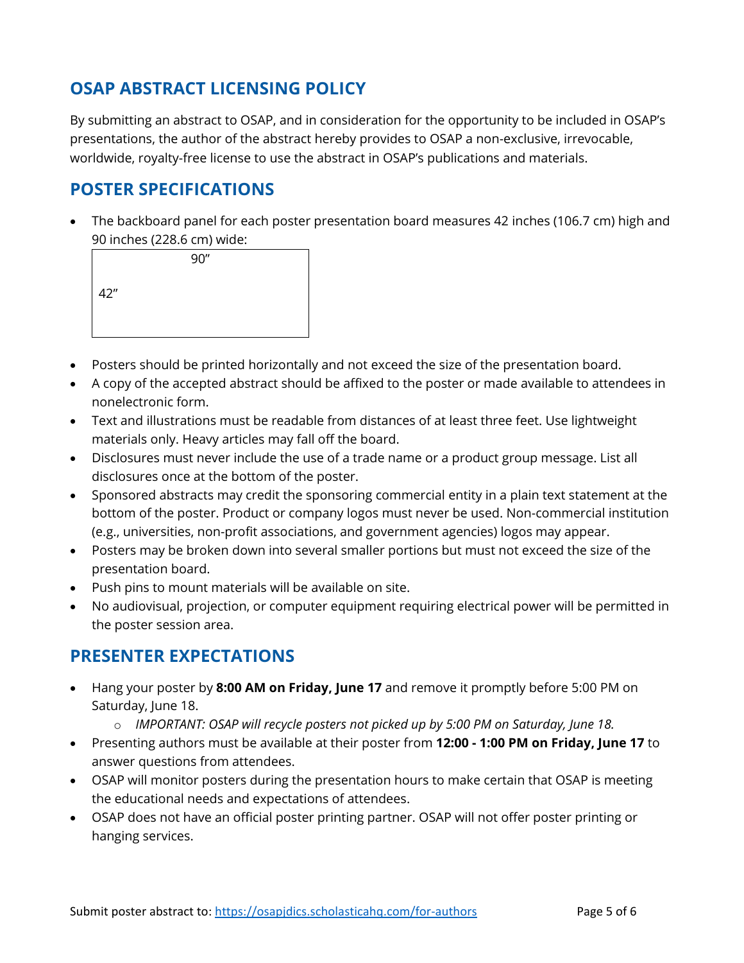## **OSAP ABSTRACT LICENSING POLICY**

By submitting an abstract to OSAP, and in consideration for the opportunity to be included in OSAP's presentations, the author of the abstract hereby provides to OSAP a non-exclusive, irrevocable, worldwide, royalty-free license to use the abstract in OSAP's publications and materials.

## **POSTER SPECIFICATIONS**

• The backboard panel for each poster presentation board measures 42 inches (106.7 cm) high and 90 inches (228.6 cm) wide:

|          |  | 90'' |  |
|----------|--|------|--|
| 42"<br>I |  |      |  |
|          |  |      |  |
|          |  |      |  |

- Posters should be printed horizontally and not exceed the size of the presentation board.
- A copy of the accepted abstract should be affixed to the poster or made available to attendees in nonelectronic form.
- Text and illustrations must be readable from distances of at least three feet. Use lightweight materials only. Heavy articles may fall off the board.
- Disclosures must never include the use of a trade name or a product group message. List all disclosures once at the bottom of the poster.
- Sponsored abstracts may credit the sponsoring commercial entity in a plain text statement at the bottom of the poster. Product or company logos must never be used. Non-commercial institution (e.g., universities, non-profit associations, and government agencies) logos may appear.
- Posters may be broken down into several smaller portions but must not exceed the size of the presentation board.
- Push pins to mount materials will be available on site.
- No audiovisual, projection, or computer equipment requiring electrical power will be permitted in the poster session area.

## **PRESENTER EXPECTATIONS**

- Hang your poster by **8:00 AM on Friday, June 17** and remove it promptly before 5:00 PM on Saturday, June 18.
	- o *IMPORTANT: OSAP will recycle posters not picked up by 5:00 PM on Saturday, June 18.*
- Presenting authors must be available at their poster from **12:00 - 1:00 PM on Friday, June 17** to answer questions from attendees.
- OSAP will monitor posters during the presentation hours to make certain that OSAP is meeting the educational needs and expectations of attendees.
- OSAP does not have an official poster printing partner. OSAP will not offer poster printing or hanging services.